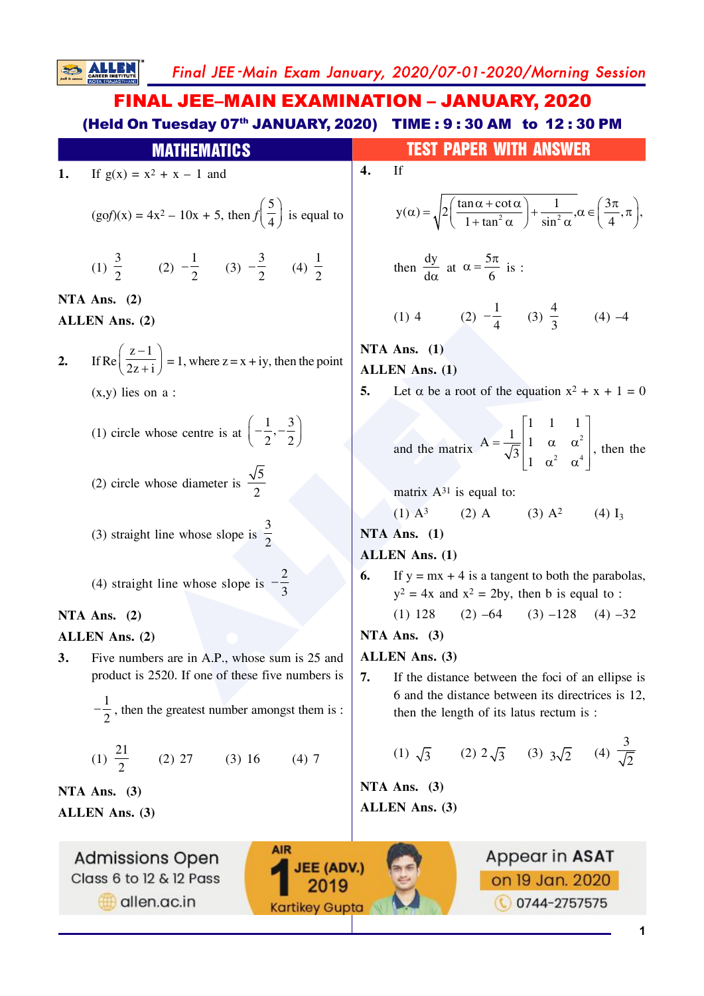Final JEE-Main Exam January, 2020/07-01-2020/Morning Session **SALLEN FINAL JEE-MAIN EXAMINATION - JANUARY, 2020** (Held On Tuesday 07th JANUARY, 2020) TIME: 9:30 AM to 12:30 PM **TEST PAPER WITH ANSWER MATHEMATICS**  $\overline{4}$ . **If**  $\mathbf{1}$ . If  $g(x) = x^2 + x - 1$  and  $y(\alpha) = \sqrt{2\left(\frac{\tan \alpha + \cot \alpha}{1 + \tan^2 \alpha}\right) + \frac{1}{\sin^2 \alpha}}, \alpha \in \left(\frac{3\pi}{4}, \pi\right),$  $(gof)(x) = 4x^2 - 10x + 5$ , then  $f\left(\frac{5}{4}\right)$  is equal to (1)  $\frac{3}{2}$  (2)  $-\frac{1}{2}$  (3)  $-\frac{3}{2}$  (4)  $\frac{1}{2}$ then  $\frac{dy}{d\alpha}$  at  $\alpha = \frac{5\pi}{6}$  is : NTA Ans.  $(2)$ (1) 4 (2)  $-\frac{1}{4}$  (3)  $\frac{4}{3}$  (4) -4 **ALLEN** Ans. (2) NTA Ans.  $(1)$ If Re  $\left(\frac{z-1}{2z+i}\right) = 1$ , where  $z = x + iy$ , then the point  $2.$ **ALLEN Ans. (1)**  $5.$ Let  $\alpha$  be a root of the equation  $x^2 + x + 1 = 0$  $(x,y)$  lies on a: and the matrix  $A = \frac{1}{\sqrt{3}} \begin{bmatrix} 1 & 1 & 1 \\ 1 & \alpha & \alpha^2 \\ 1 & \alpha^2 & \alpha^4 \end{bmatrix}$ , then the (1) circle whose centre is at  $\left(-\frac{1}{2}, -\frac{3}{2}\right)$ (2) circle whose diameter is  $\frac{\sqrt{5}}{2}$ matrix  $A^{31}$  is equal to:  $(3)$  A<sup>2</sup>  $(4)$  I<sub>2</sub>  $(1)$   $A^3$  $(2)$  A (3) straight line whose slope is  $\frac{3}{2}$ NTA Ans.  $(1)$ **ALLEN Ans.** (1) If  $y = mx + 4$  is a tangent to both the parabolas, (4) straight line whose slope is  $-\frac{2}{3}$ 6.  $y^2 = 4x$  and  $x^2 = 2by$ , then b is equal to:  $(2) -64$  $(3)$  -128  $(4)$  -32 NTA Ans.  $(2)$  $(1) 128$ NTA Ans.  $(3)$ ALLEN Ans. (2) ALLEN Ans. (3)  $3.$ Five numbers are in A.P., whose sum is 25 and product is 2520. If one of these five numbers is 7. If the distance between the foci of an ellipse is 6 and the distance between its directrices is 12.  $-\frac{1}{2}$ , then the greatest number amongst them is : then the length of its latus rectum is : (1)  $\sqrt{3}$  (2)  $2\sqrt{3}$  (3)  $3\sqrt{2}$  (4)  $\frac{3}{\sqrt{2}}$ (1)  $\frac{21}{2}$  (2) 27 (3) 16 (4) 7 NTA Ans.  $(3)$ NTA Ans.  $(3)$ ALLEN Ans. (3) **ALLEN Ans. (3)** Appear in ASAT **Admissions Open** JEE (ADV.) Class 6 to 12 & 12 Pass on 19 Jan. 2020 allen.ac.in **0744-2757575 Kartikey Gupta**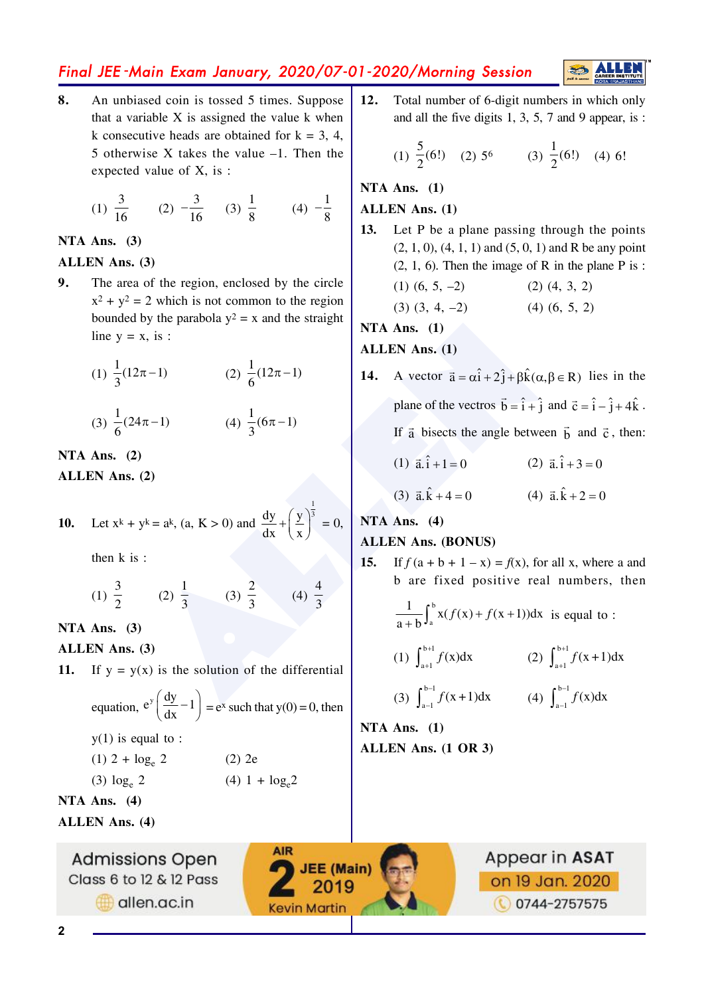## Final JEE-Main Exam January, 2020/07-01-2020/Morning Session

 $\mathbf{8}$ . An unbiased coin is tossed 5 times. Suppose that a variable X is assigned the value k when k consecutive heads are obtained for  $k = 3, 4$ , 5 otherwise X takes the value  $-1$ . Then the expected value of X, is:

(1) 
$$
\frac{3}{16}
$$
 (2)  $-\frac{3}{16}$  (3)  $\frac{1}{8}$  (4)  $-\frac{1}{8}$ 

#### NTA Ans.  $(3)$

#### **ALLEN Ans. (3)**

 $9<sub>1</sub>$ The area of the region, enclosed by the circle  $x^{2} + y^{2} = 2$  which is not common to the region bounded by the parabola  $y^2 = x$  and the straight line  $y = x$ , is :

(1) 
$$
\frac{1}{3}(12\pi - 1)
$$
 (2)  $\frac{1}{6}(12\pi - 1)$   
(3)  $\frac{1}{6}(24\pi - 1)$  (4)  $\frac{1}{3}(6\pi - 1)$ 

NTA Ans.  $(2)$ 

ALLEN Ans. (2)

**10.** Let 
$$
x^k + y^k = a^k
$$
,  $(a, K > 0)$  and  $\frac{dy}{dx} + \left(\frac{y}{x}\right)^{\frac{1}{3}} = 0$ ,

then  $k$  is :

(1) 
$$
\frac{3}{2}
$$
 (2)  $\frac{1}{3}$  (3)  $\frac{2}{3}$  (4)  $\frac{4}{3}$ 

NTA Ans.  $(3)$ 

**ALLEN** Ans. (3)

11. If  $y = y(x)$  is the solution of the differential

> equation,  $e^y \left( \frac{dy}{dx} - 1 \right) = e^x$  such that  $y(0) = 0$ , then  $y(1)$  is equal to :  $(1)$  2 +  $\log_e 2$  $(2)$  2e  $(3) \log_e 2$  $(4)$  1 +  $log_e 2$

> > **AIR**

**JEE (Main)** 

2019

**Kevin Martin** 

NTA Ans.  $(4)$ 

**ALLEN Ans. (4)** 

**Admissions Open** 

Class 6 to 12 & 12 Pass

dlen.ac.in

 $12.$ Total number of 6-digit numbers in which only and all the five digits  $1, 3, 5, 7$  and  $9$  appear, is:

**ALLE** 

(1) 
$$
\frac{5}{2}(6!)
$$
 (2) 5<sup>6</sup> (3)  $\frac{1}{2}(6!)$  (4) 6!

NTA Ans.  $(1)$ 

#### **ALLEN** Ans. (1)

- Let P be a plane passing through the points 13.  $(2, 1, 0)$ ,  $(4, 1, 1)$  and  $(5, 0, 1)$  and R be any point  $(2, 1, 6)$ . Then the image of R in the plane P is:  $(1)$   $(6, 5, -2)$  $(2)$   $(4, 3, 2)$ 
	- $(3)$   $(3, 4, -2)$  $(4)$   $(6, 5, 2)$

NTA Ans.  $(1)$ 

## **ALLEN Ans.** (1)

- A vector  $\vec{a} = \alpha \hat{i} + 2 \hat{j} + \beta \hat{k} (\alpha, \beta \in R)$  lies in the 14. plane of the vectros  $\vec{b} = \hat{i} + \hat{j}$  and  $\vec{c} = \hat{i} - \hat{j} + 4\hat{k}$ . If  $\vec{a}$  bisects the angle between  $\vec{b}$  and  $\vec{c}$ , then:
	- (1)  $\hat{a} \cdot \hat{i} + 1 = 0$  $(2)$   $\vec{a} \cdot \hat{i} + 3 = 0$

(3) 
$$
\vec{a} \cdot \hat{k} + 4 = 0
$$
 (4)  $\vec{a} \cdot \hat{k} + 2 = 0$ 

NTA Ans.  $(4)$ 

## **ALLEN Ans. (BONUS)**

 $15.$ If  $f(a + b + 1 - x) = f(x)$ , for all x, where a and b are fixed positive real numbers, then

$$
\frac{1}{a+b} \int_{a}^{b} x(f(x) + f(x+1))dx \text{ is equal to :}
$$
  
(1) 
$$
\int_{a+1}^{b+1} f(x)dx
$$
 (2) 
$$
\int_{a+1}^{b+1} f(x+1)dx
$$
  
(3) 
$$
\int_{a-1}^{b-1} f(x+1)dx
$$
 (4) 
$$
\int_{a-1}^{b-1} f(x)dx
$$

NTA Ans.  $(1)$ ALLEN Ans. (1 OR 3)